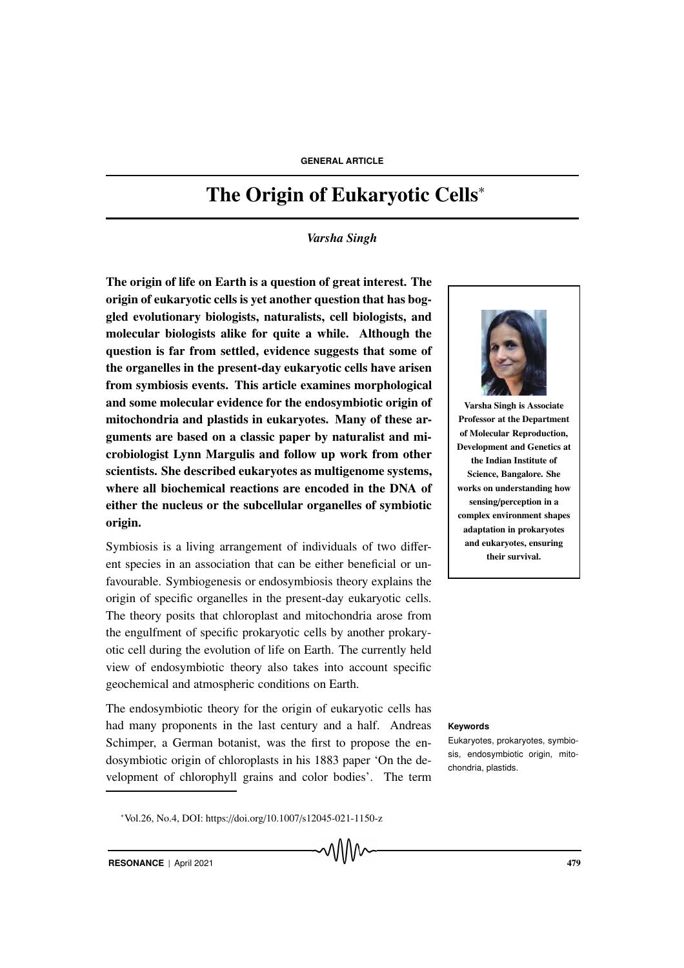# The Origin of Eukaryotic Cells<sup>∗</sup>

*Varsha Singh*

The origin of life on Earth is a question of great interest. The origin of eukaryotic cells is yet another question that has boggled evolutionary biologists, naturalists, cell biologists, and molecular biologists alike for quite a while. Although the question is far from settled, evidence suggests that some of the organelles in the present-day eukaryotic cells have arisen from symbiosis events. This article examines morphological and some molecular evidence for the endosymbiotic origin of mitochondria and plastids in eukaryotes. Many of these arguments are based on a classic paper by naturalist and microbiologist Lynn Margulis and follow up work from other scientists. She described eukaryotes as multigenome systems, where all biochemical reactions are encoded in the DNA of either the nucleus or the subcellular organelles of symbiotic origin.

Symbiosis is a living arrangement of individuals of two different species in an association that can be either beneficial or unfavourable. Symbiogenesis or endosymbiosis theory explains the origin of specific organelles in the present-day eukaryotic cells. The theory posits that chloroplast and mitochondria arose from the engulfment of specific prokaryotic cells by another prokaryotic cell during the evolution of life on Earth. The currently held view of endosymbiotic theory also takes into account specific geochemical and atmospheric conditions on Earth.

The endosymbiotic theory for the origin of eukaryotic cells has had many proponents in the last century and a half. Andreas **Keywords** Schimper, a German botanist, was the first to propose the endosymbiotic origin of chloroplasts in his 1883 paper 'On the development of chlorophyll grains and color bodies'. The term





Varsha Singh is Associate Professor at the Department of Molecular Reproduction, Development and Genetics at the Indian Institute of Science, Bangalore. She works on understanding how sensing/perception in a complex environment shapes adaptation in prokaryotes and eukaryotes, ensuring their survival.

Eukaryotes, prokaryotes, symbiosis, endosymbiotic origin, mitochondria, plastids.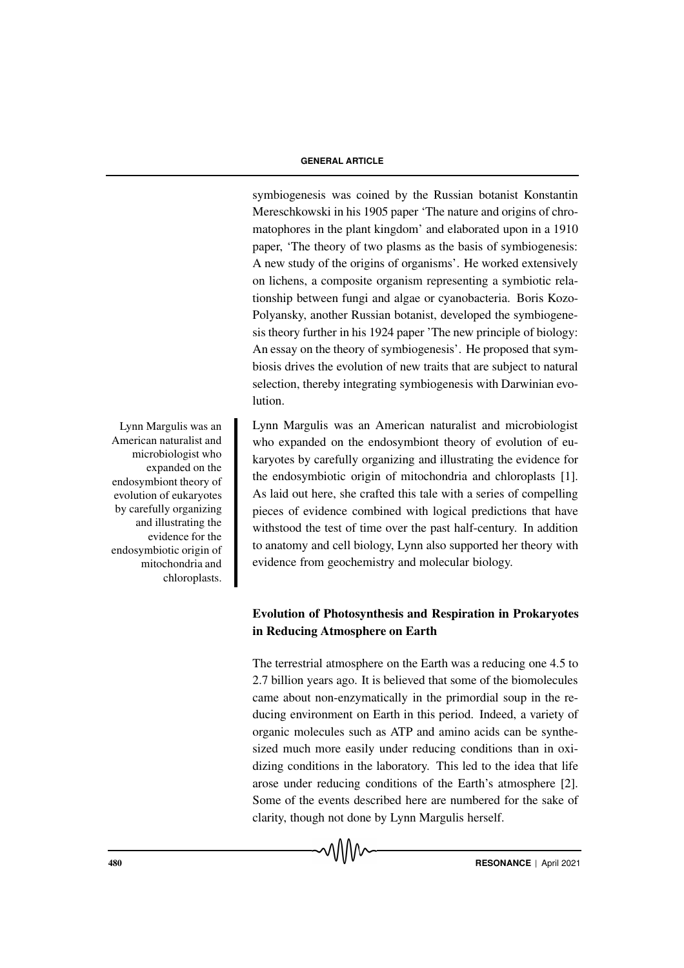symbiogenesis was coined by the Russian botanist Konstantin Mereschkowski in his 1905 paper 'The nature and origins of chromatophores in the plant kingdom' and elaborated upon in a 1910 paper, 'The theory of two plasms as the basis of symbiogenesis: A new study of the origins of organisms'. He worked extensively on lichens, a composite organism representing a symbiotic relationship between fungi and algae or cyanobacteria. Boris Kozo-Polyansky, another Russian botanist, developed the symbiogenesis theory further in his 1924 paper 'The new principle of biology: An essay on the theory of symbiogenesis'. He proposed that symbiosis drives the evolution of new traits that are subject to natural selection, thereby integrating symbiogenesis with Darwinian evolution.

Lynn Margulis was an American naturalist and microbiologist who expanded on the endosymbiont theory of evolution of eukaryotes by carefully organizing and illustrating the evidence for the endosymbiotic origin of mitochondria and chloroplasts [1]. As laid out here, she crafted this tale with a series of compelling pieces of evidence combined with logical predictions that have withstood the test of time over the past half-century. In addition to anatomy and cell biology, Lynn also supported her theory with evidence from geochemistry and molecular biology.

# Evolution of Photosynthesis and Respiration in Prokaryotes in Reducing Atmosphere on Earth

The terrestrial atmosphere on the Earth was a reducing one 4.5 to 2.7 billion years ago. It is believed that some of the biomolecules came about non-enzymatically in the primordial soup in the reducing environment on Earth in this period. Indeed, a variety of organic molecules such as ATP and amino acids can be synthesized much more easily under reducing conditions than in oxidizing conditions in the laboratory. This led to the idea that life arose under reducing conditions of the Earth's atmosphere [2]. Some of the events described here are numbered for the sake of clarity, though not done by Lynn Margulis herself.

Lynn Margulis was an American naturalist and microbiologist who expanded on the endosymbiont theory of evolution of eukaryotes by carefully organizing and illustrating the evidence for the endosymbiotic origin of mitochondria and chloroplasts.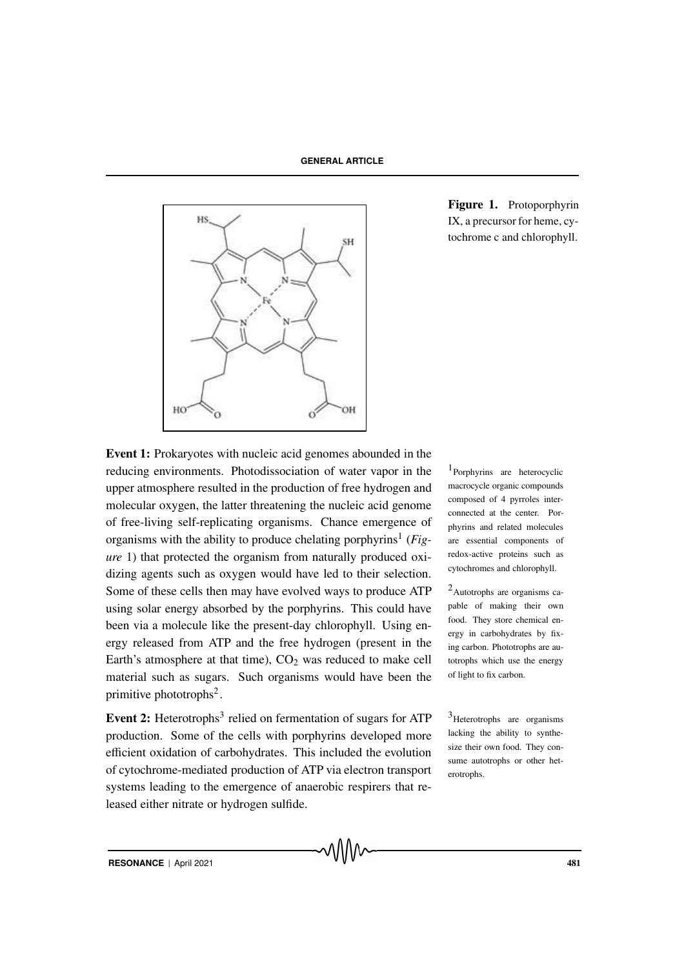

Figure 1. Protoporphyrin IX, a precursor for heme, cytochrome c and chlorophyll.

Event 1: Prokaryotes with nucleic acid genomes abounded in the reducing environments. Photodissociation of water vapor in the  $1$ upper atmosphere resulted in the production of free hydrogen and molecular oxygen, the latter threatening the nucleic acid genome of free-living self-replicating organisms. Chance emergence of organisms with the ability to produce chelating porphyrins<sup>1</sup> (Fig*ure* 1) that protected the organism from naturally produced oxidizing agents such as oxygen would have led to their selection. Some of these cells then may have evolved ways to produce  $ATP$   $^{-2}$  Autotrophs are organisms causing solar energy absorbed by the porphyrins. This could have been via a molecule like the present-day chlorophyll. Using energy released from ATP and the free hydrogen (present in the Earth's atmosphere at that time),  $CO<sub>2</sub>$  was reduced to make cell material such as sugars. Such organisms would have been the primitive phototrophs<sup>2</sup>.

Event 2: Heterotrophs<sup>3</sup> relied on fermentation of sugars for ATP  $3$  Heterotrophs are organisms production. Some of the cells with porphyrins developed more efficient oxidation of carbohydrates. This included the evolution of cytochrome-mediated production of ATP via electron transport systems leading to the emergence of anaerobic respirers that released either nitrate or hydrogen sulfide.

<sup>1</sup>Porphyrins are heterocyclic macrocycle organic compounds composed of 4 pyrroles interconnected at the center. Porphyrins and related molecules are essential components of redox-active proteins such as cytochromes and chlorophyll.

pable of making their own food. They store chemical energy in carbohydrates by fixing carbon. Phototrophs are autotrophs which use the energy of light to fix carbon.

lacking the ability to synthesize their own food. They consume autotrophs or other heterotrophs.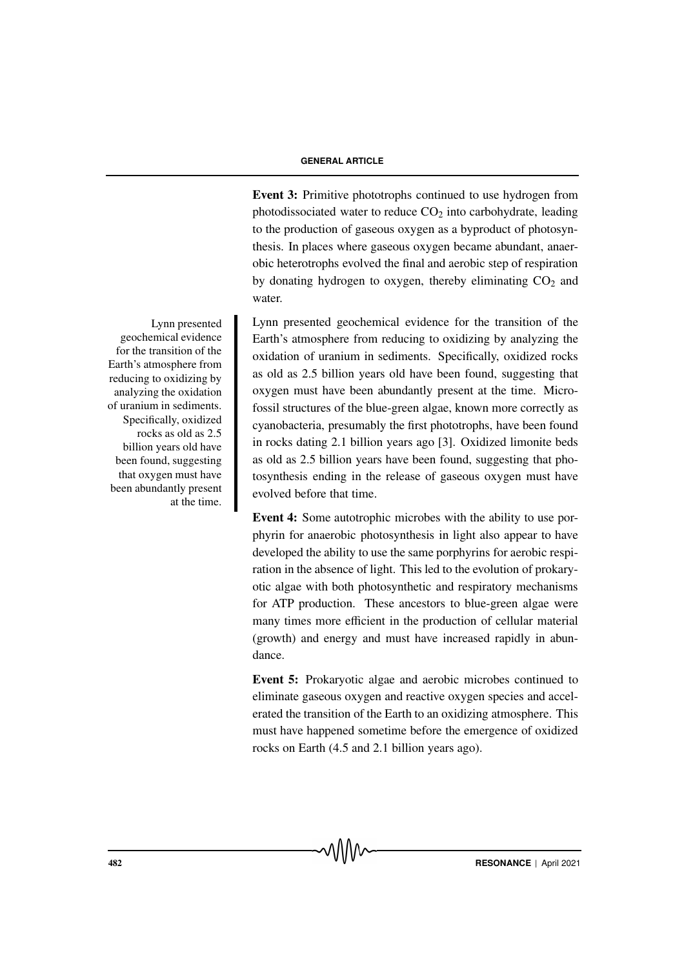Event 3: Primitive phototrophs continued to use hydrogen from photodissociated water to reduce  $CO<sub>2</sub>$  into carbohydrate, leading to the production of gaseous oxygen as a byproduct of photosynthesis. In places where gaseous oxygen became abundant, anaerobic heterotrophs evolved the final and aerobic step of respiration by donating hydrogen to oxygen, thereby eliminating  $CO<sub>2</sub>$  and water.

Lynn presented geochemical evidence for the transition of the Earth's atmosphere from reducing to oxidizing by analyzing the oxidation of uranium in sediments. Specifically, oxidized rocks as old as 2.5 billion years old have been found, suggesting that oxygen must have been abundantly present at the time. Microfossil structures of the blue-green algae, known more correctly as cyanobacteria, presumably the first phototrophs, have been found in rocks dating 2.1 billion years ago [3]. Oxidized limonite beds as old as 2.5 billion years have been found, suggesting that photosynthesis ending in the release of gaseous oxygen must have evolved before that time.

Event 4: Some autotrophic microbes with the ability to use porphyrin for anaerobic photosynthesis in light also appear to have developed the ability to use the same porphyrins for aerobic respiration in the absence of light. This led to the evolution of prokaryotic algae with both photosynthetic and respiratory mechanisms for ATP production. These ancestors to blue-green algae were many times more efficient in the production of cellular material (growth) and energy and must have increased rapidly in abundance.

Event 5: Prokaryotic algae and aerobic microbes continued to eliminate gaseous oxygen and reactive oxygen species and accelerated the transition of the Earth to an oxidizing atmosphere. This must have happened sometime before the emergence of oxidized rocks on Earth (4.5 and 2.1 billion years ago).

Lynn presented geochemical evidence for the transition of the Earth's atmosphere from reducing to oxidizing by analyzing the oxidation of uranium in sediments. Specifically, oxidized rocks as old as 2.5 billion years old have been found, suggesting that oxygen must have been abundantly present at the time.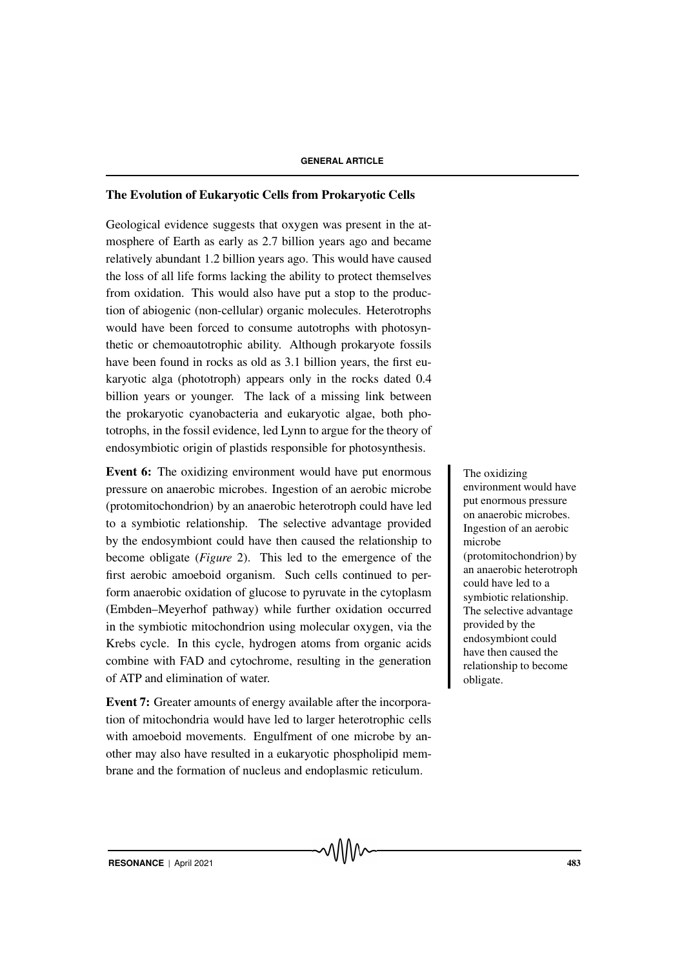# The Evolution of Eukaryotic Cells from Prokaryotic Cells

Geological evidence suggests that oxygen was present in the atmosphere of Earth as early as 2.7 billion years ago and became relatively abundant 1.2 billion years ago. This would have caused the loss of all life forms lacking the ability to protect themselves from oxidation. This would also have put a stop to the production of abiogenic (non-cellular) organic molecules. Heterotrophs would have been forced to consume autotrophs with photosynthetic or chemoautotrophic ability. Although prokaryote fossils have been found in rocks as old as 3.1 billion years, the first eukaryotic alga (phototroph) appears only in the rocks dated 0.4 billion years or younger. The lack of a missing link between the prokaryotic cyanobacteria and eukaryotic algae, both phototrophs, in the fossil evidence, led Lynn to argue for the theory of endosymbiotic origin of plastids responsible for photosynthesis.

Event 6: The oxidizing environment would have put enormous The oxidizing pressure on anaerobic microbes. Ingestion of an aerobic microbe (protomitochondrion) by an anaerobic heterotroph could have led to a symbiotic relationship. The selective advantage provided by the endosymbiont could have then caused the relationship to become obligate (*Figure* 2). This led to the emergence of the first aerobic amoeboid organism. Such cells continued to perform anaerobic oxidation of glucose to pyruvate in the cytoplasm (Embden–Meyerhof pathway) while further oxidation occurred in the symbiotic mitochondrion using molecular oxygen, via the Krebs cycle. In this cycle, hydrogen atoms from organic acids combine with FAD and cytochrome, resulting in the generation of ATP and elimination of water.

Event 7: Greater amounts of energy available after the incorporation of mitochondria would have led to larger heterotrophic cells with amoeboid movements. Engulfment of one microbe by another may also have resulted in a eukaryotic phospholipid membrane and the formation of nucleus and endoplasmic reticulum.

environment would have put enormous pressure on anaerobic microbes. Ingestion of an aerobic microbe (protomitochondrion) by an anaerobic heterotroph could have led to a symbiotic relationship. The selective advantage provided by the endosymbiont could have then caused the relationship to become obligate.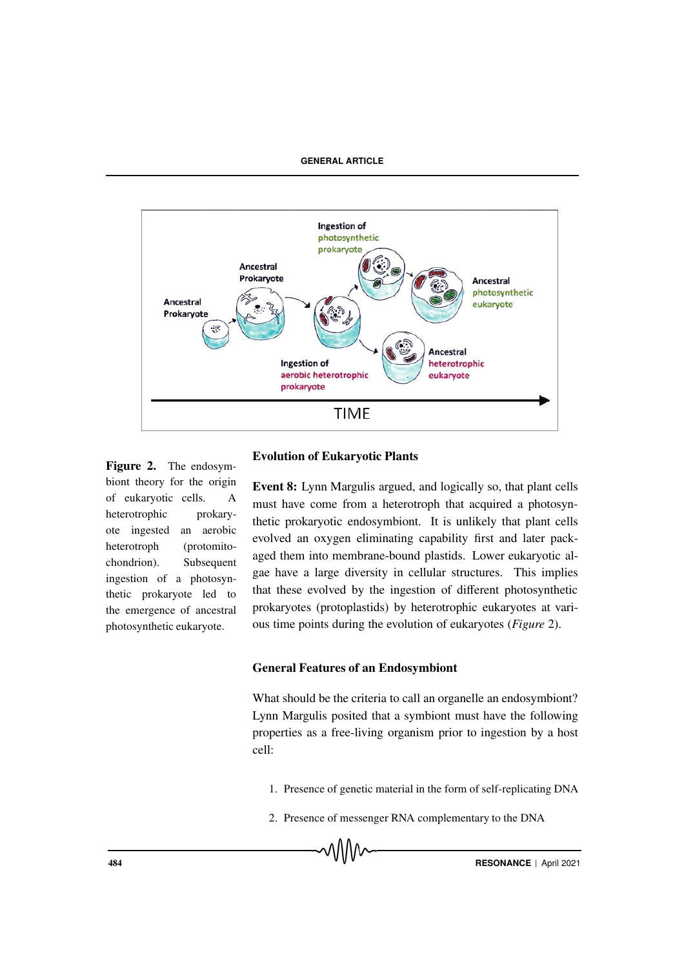

Figure 2. The endosymbiont theory for the origin of eukaryotic cells. A heterotrophic prokaryote ingested an aerobic heterotroph (protomitochondrion). Subsequent ingestion of a photosynthetic prokaryote led to the emergence of ancestral photosynthetic eukaryote.

## Evolution of Eukaryotic Plants

Event 8: Lynn Margulis argued, and logically so, that plant cells must have come from a heterotroph that acquired a photosynthetic prokaryotic endosymbiont. It is unlikely that plant cells evolved an oxygen eliminating capability first and later packaged them into membrane-bound plastids. Lower eukaryotic algae have a large diversity in cellular structures. This implies that these evolved by the ingestion of different photosynthetic prokaryotes (protoplastids) by heterotrophic eukaryotes at various time points during the evolution of eukaryotes (*Figure* 2).

### General Features of an Endosymbiont

What should be the criteria to call an organelle an endosymbiont? Lynn Margulis posited that a symbiont must have the following properties as a free-living organism prior to ingestion by a host cell:

- 1. Presence of genetic material in the form of self-replicating DNA
- 2. Presence of messenger RNA complementary to the DNA

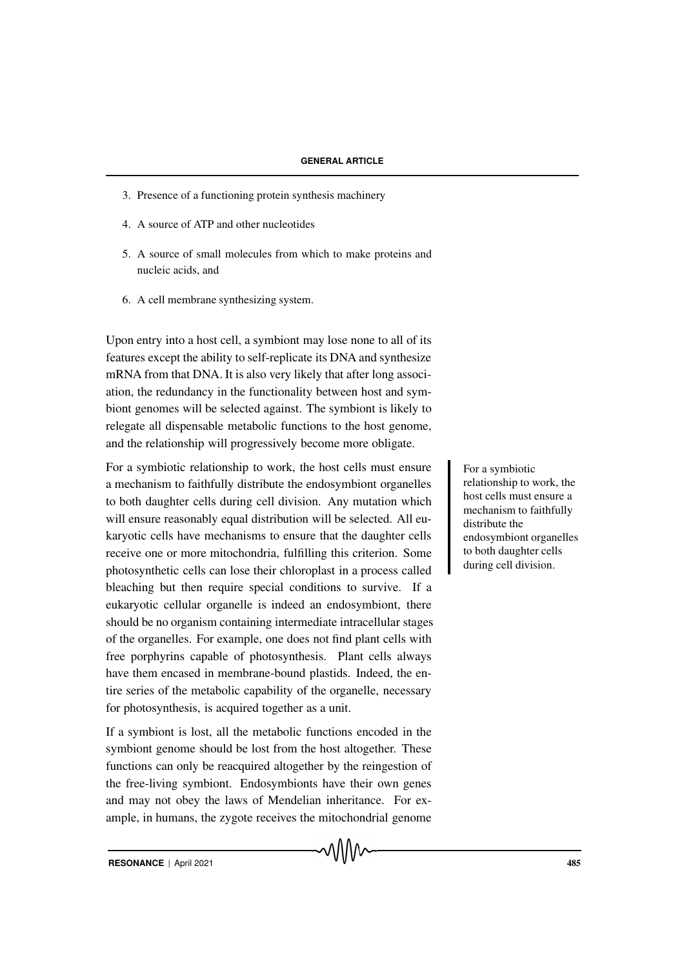- 3. Presence of a functioning protein synthesis machinery
- 4. A source of ATP and other nucleotides
- 5. A source of small molecules from which to make proteins and nucleic acids, and
- 6. A cell membrane synthesizing system.

Upon entry into a host cell, a symbiont may lose none to all of its features except the ability to self-replicate its DNA and synthesize mRNA from that DNA. It is also very likely that after long association, the redundancy in the functionality between host and symbiont genomes will be selected against. The symbiont is likely to relegate all dispensable metabolic functions to the host genome, and the relationship will progressively become more obligate.

For a symbiotic relationship to work, the host cells must ensure For a symbiotic a mechanism to faithfully distribute the endosymbiont organelles to both daughter cells during cell division. Any mutation which will ensure reasonably equal distribution will be selected. All eukaryotic cells have mechanisms to ensure that the daughter cells receive one or more mitochondria, fulfilling this criterion. Some photosynthetic cells can lose their chloroplast in a process called bleaching but then require special conditions to survive. If a eukaryotic cellular organelle is indeed an endosymbiont, there should be no organism containing intermediate intracellular stages of the organelles. For example, one does not find plant cells with free porphyrins capable of photosynthesis. Plant cells always have them encased in membrane-bound plastids. Indeed, the entire series of the metabolic capability of the organelle, necessary for photosynthesis, is acquired together as a unit.

If a symbiont is lost, all the metabolic functions encoded in the symbiont genome should be lost from the host altogether. These functions can only be reacquired altogether by the reingestion of the free-living symbiont. Endosymbionts have their own genes and may not obey the laws of Mendelian inheritance. For example, in humans, the zygote receives the mitochondrial genome relationship to work, the host cells must ensure a mechanism to faithfully distribute the endosymbiont organelles to both daughter cells during cell division.

**RESONANCE** | April 2021 485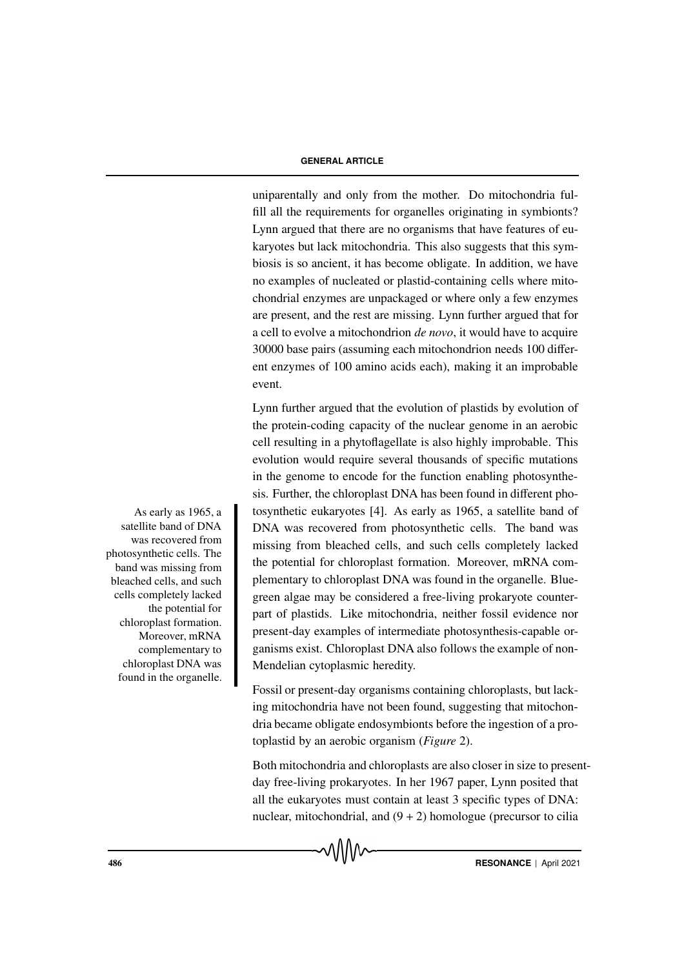uniparentally and only from the mother. Do mitochondria fulfill all the requirements for organelles originating in symbionts? Lynn argued that there are no organisms that have features of eukaryotes but lack mitochondria. This also suggests that this symbiosis is so ancient, it has become obligate. In addition, we have no examples of nucleated or plastid-containing cells where mitochondrial enzymes are unpackaged or where only a few enzymes are present, and the rest are missing. Lynn further argued that for a cell to evolve a mitochondrion *de novo*, it would have to acquire 30000 base pairs (assuming each mitochondrion needs 100 different enzymes of 100 amino acids each), making it an improbable event.

Lynn further argued that the evolution of plastids by evolution of the protein-coding capacity of the nuclear genome in an aerobic cell resulting in a phytoflagellate is also highly improbable. This evolution would require several thousands of specific mutations in the genome to encode for the function enabling photosynthesis. Further, the chloroplast DNA has been found in different pho-As early as 1965, a tosynthetic eukaryotes [4]. As early as 1965, a satellite band of DNA was recovered from photosynthetic cells. The band was missing from bleached cells, and such cells completely lacked the potential for chloroplast formation. Moreover, mRNA complementary to chloroplast DNA was found in the organelle. Bluegreen algae may be considered a free-living prokaryote counterpart of plastids. Like mitochondria, neither fossil evidence nor present-day examples of intermediate photosynthesis-capable organisms exist. Chloroplast DNA also follows the example of non-Mendelian cytoplasmic heredity.

> Fossil or present-day organisms containing chloroplasts, but lacking mitochondria have not been found, suggesting that mitochondria became obligate endosymbionts before the ingestion of a protoplastid by an aerobic organism (*Figure* 2).

Both mitochondria and chloroplasts are also closer in size to presentday free-living prokaryotes. In her 1967 paper, Lynn posited that all the eukaryotes must contain at least 3 specific types of DNA: nuclear, mitochondrial, and  $(9 + 2)$  homologue (precursor to cilia

satellite band of DNA was recovered from photosynthetic cells. The band was missing from bleached cells, and such cells completely lacked the potential for chloroplast formation. Moreover, mRNA complementary to chloroplast DNA was found in the organelle.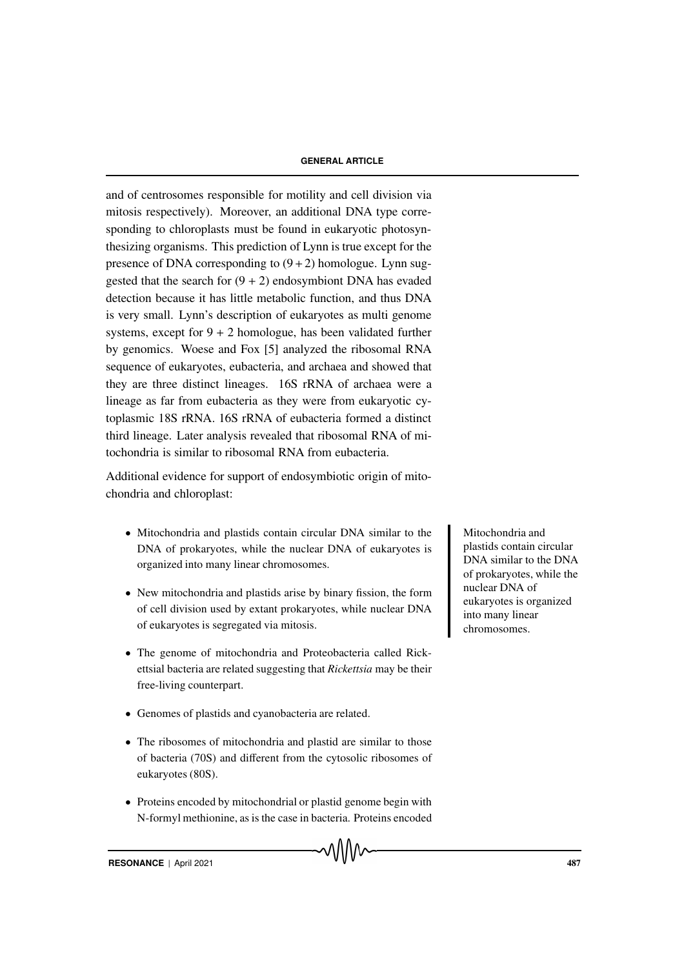and of centrosomes responsible for motility and cell division via mitosis respectively). Moreover, an additional DNA type corresponding to chloroplasts must be found in eukaryotic photosynthesizing organisms. This prediction of Lynn is true except for the presence of DNA corresponding to  $(9+2)$  homologue. Lynn suggested that the search for  $(9 + 2)$  endosymbiont DNA has evaded detection because it has little metabolic function, and thus DNA is very small. Lynn's description of eukaryotes as multi genome systems, except for  $9 + 2$  homologue, has been validated further by genomics. Woese and Fox [5] analyzed the ribosomal RNA sequence of eukaryotes, eubacteria, and archaea and showed that they are three distinct lineages. 16S rRNA of archaea were a lineage as far from eubacteria as they were from eukaryotic cytoplasmic 18S rRNA. 16S rRNA of eubacteria formed a distinct third lineage. Later analysis revealed that ribosomal RNA of mitochondria is similar to ribosomal RNA from eubacteria.

Additional evidence for support of endosymbiotic origin of mitochondria and chloroplast:

- Mitochondria and plastids contain circular DNA similar to the Mitochondria and DNA of prokaryotes, while the nuclear DNA of eukaryotes is organized into many linear chromosomes.
- New mitochondria and plastids arise by binary fission, the form of cell division used by extant prokaryotes, while nuclear DNA of eukaryotes is segregated via mitosis.
- The genome of mitochondria and Proteobacteria called Rickettsial bacteria are related suggesting that *Rickettsia* may be their free-living counterpart.
- Genomes of plastids and cyanobacteria are related.
- The ribosomes of mitochondria and plastid are similar to those of bacteria (70S) and different from the cytosolic ribosomes of eukaryotes (80S).
- Proteins encoded by mitochondrial or plastid genome begin with N-formyl methionine, as is the case in bacteria. Proteins encoded

plastids contain circular DNA similar to the DNA of prokaryotes, while the nuclear DNA of eukaryotes is organized into many linear chromosomes.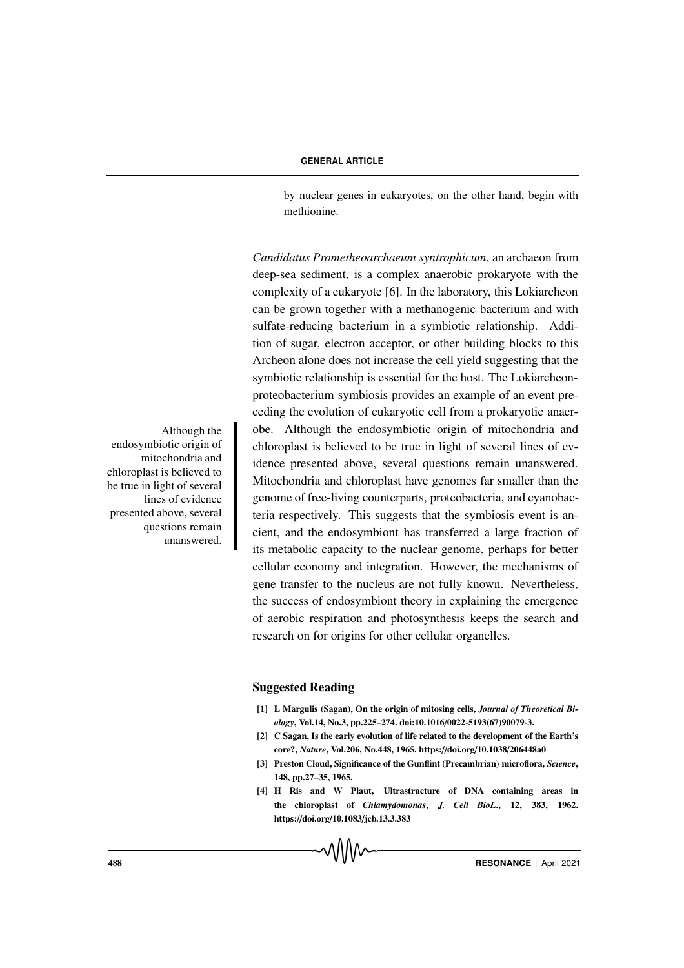by nuclear genes in eukaryotes, on the other hand, begin with methionine.

*Candidatus Prometheoarchaeum syntrophicum*, an archaeon from deep-sea sediment, is a complex anaerobic prokaryote with the complexity of a eukaryote [6]. In the laboratory, this Lokiarcheon can be grown together with a methanogenic bacterium and with sulfate-reducing bacterium in a symbiotic relationship. Addition of sugar, electron acceptor, or other building blocks to this Archeon alone does not increase the cell yield suggesting that the symbiotic relationship is essential for the host. The Lokiarcheonproteobacterium symbiosis provides an example of an event preceding the evolution of eukaryotic cell from a prokaryotic anaer-Although the obe. Although the endosymbiotic origin of mitochondria and chloroplast is believed to be true in light of several lines of evidence presented above, several questions remain unanswered. Mitochondria and chloroplast have genomes far smaller than the genome of free-living counterparts, proteobacteria, and cyanobacteria respectively. This suggests that the symbiosis event is ancient, and the endosymbiont has transferred a large fraction of its metabolic capacity to the nuclear genome, perhaps for better cellular economy and integration. However, the mechanisms of gene transfer to the nucleus are not fully known. Nevertheless, the success of endosymbiont theory in explaining the emergence of aerobic respiration and photosynthesis keeps the search and research on for origins for other cellular organelles.

# Suggested Reading

- [1] L Margulis (Sagan), On the origin of mitosing cells, *Journal of Theoretical Biology*, Vol.14, No.3, pp.225–274. doi:10.1016/0022-5193(67)90079-3.
- [2] C Sagan, Is the early evolution of life related to the development of the Earth's core?, *Nature*, Vol.206, No.448, 1965. https://doi.org/10.1038/206448a0
- [3] Preston Cloud, Significance of the Gunflint (Precambrian) microflora, *Science*, 148, pp.27–35, 1965.
- [4] H Ris and W Plaut, Ultrastructure of DNA containing areas in the chloroplast of *Chlamydomonas*, *J. Cell BioL*., 12, 383, 1962. https://doi.org/10.1083/jcb.13.3.383

endosymbiotic origin of mitochondria and chloroplast is believed to be true in light of several lines of evidence presented above, several questions remain unanswered.